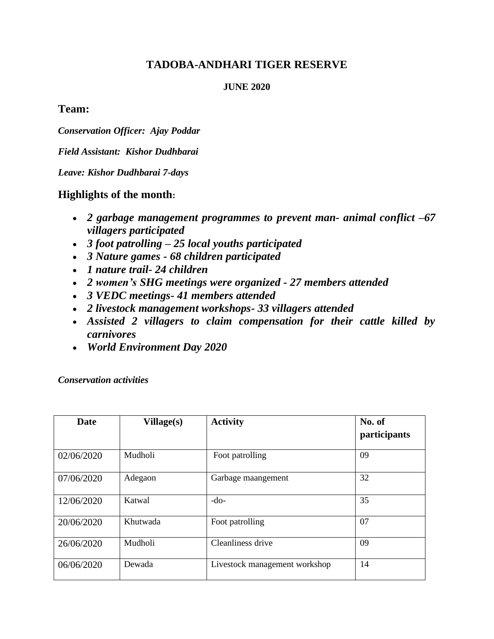## **TADOBA-ANDHARI TIGER RESERVE**

#### **JUNE 2020**

### **Team:**

*Conservation Officer: Ajay Poddar*

*Field Assistant: Kishor Dudhbarai*

*Leave: Kishor Dudhbarai 7-days* 

### **Highlights of the month:**

- *2 garbage management programmes to prevent man- animal conflict –67 villagers participated*
- *3 foot patrolling – 25 local youths participated*
- *3 Nature games - 68 children participated*
- *1 nature trail- 24 children*
- *2 women's SHG meetings were organized - 27 members attended*
- *3 VEDC meetings- 41 members attended*
- *2 livestock management workshops- 33 villagers attended*
- *Assisted 2 villagers to claim compensation for their cattle killed by carnivores*
- *World Environment Day 2020*

#### *Conservation activities*

| <b>Date</b> | Village(s) | <b>Activity</b>               | No. of<br>participants |
|-------------|------------|-------------------------------|------------------------|
| 02/06/2020  | Mudholi    | Foot patrolling               | 09                     |
| 07/06/2020  | Adegaon    | Garbage maangement            | 32                     |
| 12/06/2020  | Katwal     | $-do-$                        | 35                     |
| 20/06/2020  | Khutwada   | Foot patrolling               | 07                     |
| 26/06/2020  | Mudholi    | Cleanliness drive             | 09                     |
| 06/06/2020  | Dewada     | Livestock management workshop | 14                     |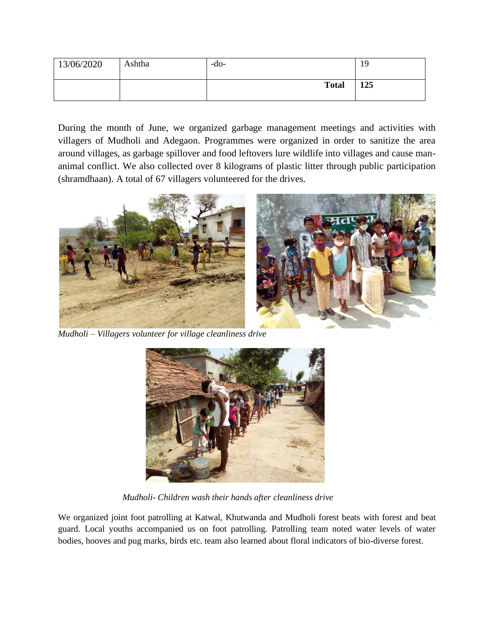| 13/06/2020 | Ashtha | $-dO-$       | 19  |
|------------|--------|--------------|-----|
|            |        | <b>Total</b> | 125 |

During the month of June, we organized garbage management meetings and activities with villagers of Mudholi and Adegaon. Programmes were organized in order to sanitize the area around villages, as garbage spillover and food leftovers lure wildlife into villages and cause mananimal conflict. We also collected over 8 kilograms of plastic litter through public participation (shramdhaan). A total of 67 villagers volunteered for the drives.



*Mudholi – Villagers volunteer for village cleanliness drive*



 *Mudholi- Children wash their hands after cleanliness drive*

We organized joint foot patrolling at Katwal, Khutwanda and Mudholi forest beats with forest and beat guard. Local youths accompanied us on foot patrolling. Patrolling team noted water levels of water bodies, hooves and pug marks, birds etc. team also learned about floral indicators of bio-diverse forest.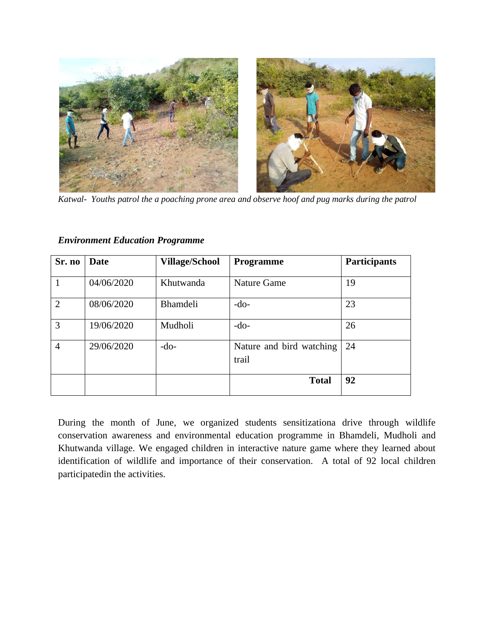

*Katwal- Youths patrol the a poaching prone area and observe hoof and pug marks during the patrol*

| Sr. no         | Date       | <b>Village/School</b> | <b>Programme</b>                  | <b>Participants</b> |  |
|----------------|------------|-----------------------|-----------------------------------|---------------------|--|
|                | 04/06/2020 | Khutwanda             | <b>Nature Game</b>                | 19                  |  |
| $\overline{2}$ | 08/06/2020 | <b>Bhamdeli</b>       | $-do-$                            | 23                  |  |
| 3              | 19/06/2020 | Mudholi               | $-do-$                            | 26                  |  |
| $\overline{4}$ | 29/06/2020 | $-do-$                | Nature and bird watching<br>trail | 24                  |  |
|                |            |                       | <b>Total</b>                      | 92                  |  |

*Environment Education Programme*

During the month of June, we organized students sensitizationa drive through wildlife conservation awareness and environmental education programme in Bhamdeli, Mudholi and Khutwanda village. We engaged children in interactive nature game where they learned about identification of wildlife and importance of their conservation. A total of 92 local children participatedin the activities.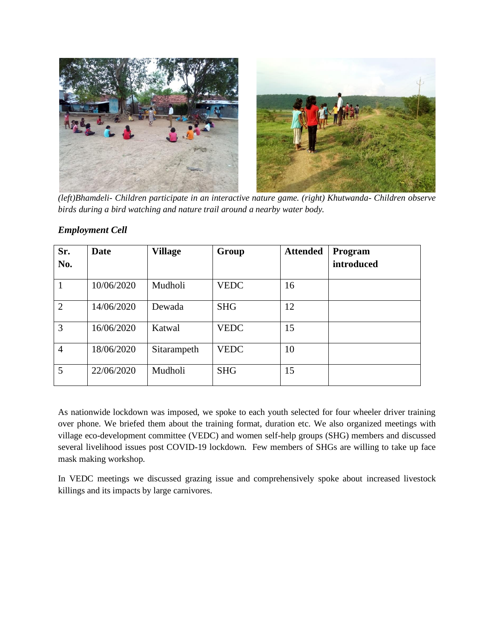

*(left)Bhamdeli- Children participate in an interactive nature game. (right) Khutwanda- Children observe birds during a bird watching and nature trail around a nearby water body.* 

| Sr.            | Date       | <b>Village</b> | Group       | <b>Attended</b> | Program    |
|----------------|------------|----------------|-------------|-----------------|------------|
| No.            |            |                |             |                 | introduced |
| 1              | 10/06/2020 | Mudholi        | <b>VEDC</b> | 16              |            |
| $\overline{2}$ | 14/06/2020 | Dewada         | <b>SHG</b>  | 12              |            |
| 3              | 16/06/2020 | Katwal         | <b>VEDC</b> | 15              |            |
| $\overline{4}$ | 18/06/2020 | Sitarampeth    | <b>VEDC</b> | 10              |            |
| 5              | 22/06/2020 | Mudholi        | <b>SHG</b>  | 15              |            |

#### *Employment Cell*

As nationwide lockdown was imposed, we spoke to each youth selected for four wheeler driver training over phone. We briefed them about the training format, duration etc. We also organized meetings with village eco-development committee (VEDC) and women self-help groups (SHG) members and discussed several livelihood issues post COVID-19 lockdown. Few members of SHGs are willing to take up face mask making workshop.

In VEDC meetings we discussed grazing issue and comprehensively spoke about increased livestock killings and its impacts by large carnivores.